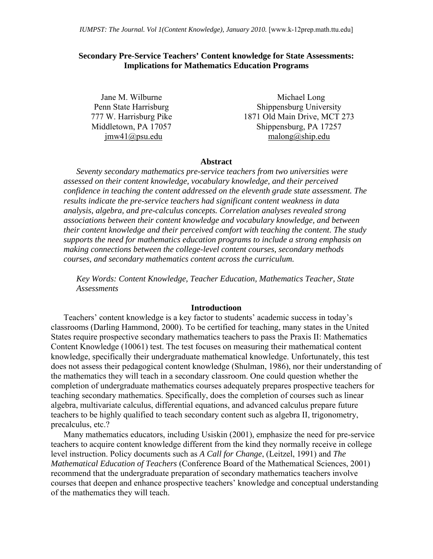## **Secondary Pre-Service Teachers' Content knowledge for State Assessments: Implications for Mathematics Education Programs**

Jane M. Wilburne Penn State Harrisburg 777 W. Harrisburg Pike Middletown, PA 17057 jmw41@psu.edu

 Michael Long Shippensburg University 1871 Old Main Drive, MCT 273 Shippensburg, PA 17257 malong@ship.edu

#### **Abstract**

*Seventy secondary mathematics pre-service teachers from two universities were assessed on their content knowledge, vocabulary knowledge, and their perceived confidence in teaching the content addressed on the eleventh grade state assessment. The results indicate the pre-service teachers had significant content weakness in data analysis, algebra, and pre-calculus concepts. Correlation analyses revealed strong associations between their content knowledge and vocabulary knowledge, and between their content knowledge and their perceived comfort with teaching the content. The study supports the need for mathematics education programs to include a strong emphasis on making connections between the college-level content courses, secondary methods courses, and secondary mathematics content across the curriculum.* 

*Key Words: Content Knowledge, Teacher Education, Mathematics Teacher, State Assessments* 

### **Introductioon**

Teachers' content knowledge is a key factor to students' academic success in today's classrooms (Darling Hammond, 2000). To be certified for teaching, many states in the United States require prospective secondary mathematics teachers to pass the Praxis II: Mathematics Content Knowledge (10061) test. The test focuses on measuring their mathematical content knowledge, specifically their undergraduate mathematical knowledge. Unfortunately, this test does not assess their pedagogical content knowledge (Shulman, 1986), nor their understanding of the mathematics they will teach in a secondary classroom. One could question whether the completion of undergraduate mathematics courses adequately prepares prospective teachers for teaching secondary mathematics. Specifically, does the completion of courses such as linear algebra, multivariate calculus, differential equations, and advanced calculus prepare future teachers to be highly qualified to teach secondary content such as algebra II, trigonometry, precalculus, etc.?

Many mathematics educators, including Usiskin (2001), emphasize the need for pre-service teachers to acquire content knowledge different from the kind they normally receive in college level instruction. Policy documents such as *A Call for Change*, (Leitzel, 1991) and *The Mathematical Education of Teachers* (Conference Board of the Mathematical Sciences, 2001) recommend that the undergraduate preparation of secondary mathematics teachers involve courses that deepen and enhance prospective teachers' knowledge and conceptual understanding of the mathematics they will teach.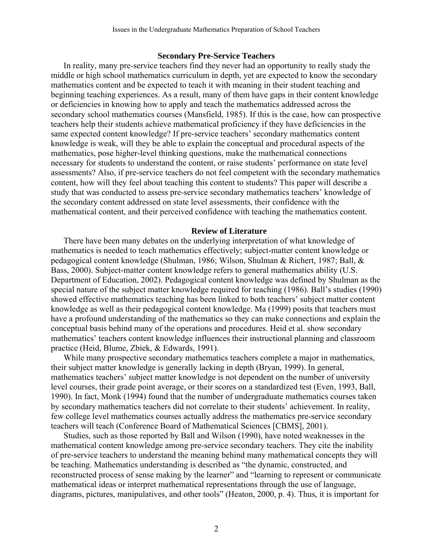### **Secondary Pre-Service Teachers**

In reality, many pre-service teachers find they never had an opportunity to really study the middle or high school mathematics curriculum in depth, yet are expected to know the secondary mathematics content and be expected to teach it with meaning in their student teaching and beginning teaching experiences. As a result, many of them have gaps in their content knowledge or deficiencies in knowing how to apply and teach the mathematics addressed across the secondary school mathematics courses (Mansfield, 1985). If this is the case, how can prospective teachers help their students achieve mathematical proficiency if they have deficiencies in the same expected content knowledge? If pre-service teachers' secondary mathematics content knowledge is weak, will they be able to explain the conceptual and procedural aspects of the mathematics, pose higher-level thinking questions, make the mathematical connections necessary for students to understand the content, or raise students' performance on state level assessments? Also, if pre-service teachers do not feel competent with the secondary mathematics content, how will they feel about teaching this content to students? This paper will describe a study that was conducted to assess pre-service secondary mathematics teachers' knowledge of the secondary content addressed on state level assessments, their confidence with the mathematical content, and their perceived confidence with teaching the mathematics content.

### **Review of Literature**

There have been many debates on the underlying interpretation of what knowledge of mathematics is needed to teach mathematics effectively; subject-matter content knowledge or pedagogical content knowledge (Shulman, 1986; Wilson, Shulman & Richert, 1987; Ball, & Bass, 2000). Subject-matter content knowledge refers to general mathematics ability (U.S. Department of Education, 2002). Pedagogical content knowledge was defined by Shulman as the special nature of the subject matter knowledge required for teaching (1986). Ball's studies (1990) showed effective mathematics teaching has been linked to both teachers' subject matter content knowledge as well as their pedagogical content knowledge. Ma (1999) posits that teachers must have a profound understanding of the mathematics so they can make connections and explain the conceptual basis behind many of the operations and procedures. Heid et al. show secondary mathematics' teachers content knowledge influences their instructional planning and classroom practice (Heid, Blume, Zbiek, & Edwards, 1991).

While many prospective secondary mathematics teachers complete a major in mathematics, their subject matter knowledge is generally lacking in depth (Bryan, 1999). In general, mathematics teachers' subject matter knowledge is not dependent on the number of university level courses, their grade point average, or their scores on a standardized test (Even, 1993, Ball, 1990). In fact, Monk (1994) found that the number of undergraduate mathematics courses taken by secondary mathematics teachers did not correlate to their students' achievement. In reality, few college level mathematics courses actually address the mathematics pre-service secondary teachers will teach (Conference Board of Mathematical Sciences [CBMS], 2001).

Studies, such as those reported by Ball and Wilson (1990), have noted weaknesses in the mathematical content knowledge among pre-service secondary teachers. They cite the inability of pre-service teachers to understand the meaning behind many mathematical concepts they will be teaching. Mathematics understanding is described as "the dynamic, constructed, and reconstructed process of sense making by the learner" and "learning to represent or communicate mathematical ideas or interpret mathematical representations through the use of language, diagrams, pictures, manipulatives, and other tools" (Heaton, 2000, p. 4). Thus, it is important for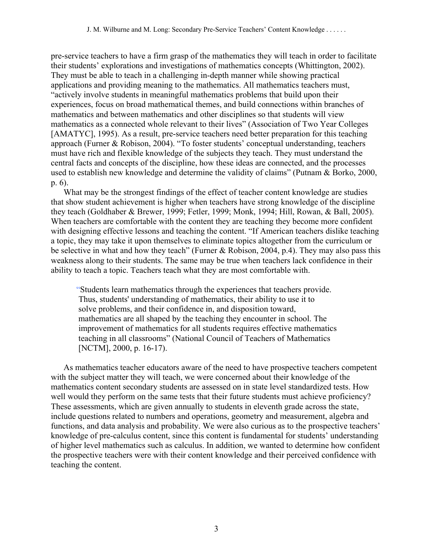pre-service teachers to have a firm grasp of the mathematics they will teach in order to facilitate their students' explorations and investigations of mathematics concepts (Whittington, 2002). They must be able to teach in a challenging in-depth manner while showing practical applications and providing meaning to the mathematics. All mathematics teachers must, "actively involve students in meaningful mathematics problems that build upon their experiences, focus on broad mathematical themes, and build connections within branches of mathematics and between mathematics and other disciplines so that students will view mathematics as a connected whole relevant to their lives" (Association of Two Year Colleges [AMATYC], 1995). As a result, pre-service teachers need better preparation for this teaching approach (Furner & Robison, 2004). "To foster students' conceptual understanding, teachers must have rich and flexible knowledge of the subjects they teach. They must understand the central facts and concepts of the discipline, how these ideas are connected, and the processes used to establish new knowledge and determine the validity of claims" (Putnam & Borko, 2000, p. 6).

What may be the strongest findings of the effect of teacher content knowledge are studies that show student achievement is higher when teachers have strong knowledge of the discipline they teach (Goldhaber & Brewer, 1999; Fetler, 1999; Monk, 1994; Hill, Rowan, & Ball, 2005). When teachers are comfortable with the content they are teaching they become more confident with designing effective lessons and teaching the content. "If American teachers dislike teaching a topic, they may take it upon themselves to eliminate topics altogether from the curriculum or be selective in what and how they teach" (Furner & Robison, 2004, p.4). They may also pass this weakness along to their students. The same may be true when teachers lack confidence in their ability to teach a topic. Teachers teach what they are most comfortable with.

"Students learn mathematics through the experiences that teachers provide. Thus, students' understanding of mathematics, their ability to use it to solve problems, and their confidence in, and disposition toward, mathematics are all shaped by the teaching they encounter in school. The improvement of mathematics for all students requires effective mathematics teaching in all classrooms" (National Council of Teachers of Mathematics [NCTM], 2000, p. 16-17).

As mathematics teacher educators aware of the need to have prospective teachers competent with the subject matter they will teach, we were concerned about their knowledge of the mathematics content secondary students are assessed on in state level standardized tests. How well would they perform on the same tests that their future students must achieve proficiency? These assessments, which are given annually to students in eleventh grade across the state, include questions related to numbers and operations, geometry and measurement, algebra and functions, and data analysis and probability. We were also curious as to the prospective teachers' knowledge of pre-calculus content, since this content is fundamental for students' understanding of higher level mathematics such as calculus. In addition, we wanted to determine how confident the prospective teachers were with their content knowledge and their perceived confidence with teaching the content.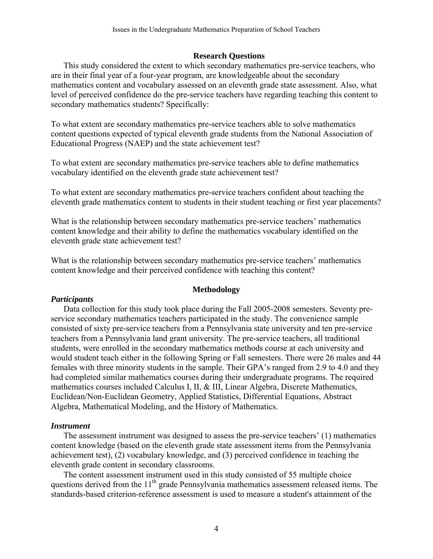# **Research Questions**

This study considered the extent to which secondary mathematics pre-service teachers, who are in their final year of a four-year program, are knowledgeable about the secondary mathematics content and vocabulary assessed on an eleventh grade state assessment. Also, what level of perceived confidence do the pre-service teachers have regarding teaching this content to secondary mathematics students? Specifically:

To what extent are secondary mathematics pre-service teachers able to solve mathematics content questions expected of typical eleventh grade students from the National Association of Educational Progress (NAEP) and the state achievement test?

To what extent are secondary mathematics pre-service teachers able to define mathematics vocabulary identified on the eleventh grade state achievement test?

To what extent are secondary mathematics pre-service teachers confident about teaching the eleventh grade mathematics content to students in their student teaching or first year placements?

What is the relationship between secondary mathematics pre-service teachers' mathematics content knowledge and their ability to define the mathematics vocabulary identified on the eleventh grade state achievement test?

What is the relationship between secondary mathematics pre-service teachers' mathematics content knowledge and their perceived confidence with teaching this content?

# **Methodology**

# *Participants*

Data collection for this study took place during the Fall 2005-2008 semesters. Seventy preservice secondary mathematics teachers participated in the study. The convenience sample consisted of sixty pre-service teachers from a Pennsylvania state university and ten pre-service teachers from a Pennsylvania land grant university. The pre-service teachers, all traditional students, were enrolled in the secondary mathematics methods course at each university and would student teach either in the following Spring or Fall semesters. There were 26 males and 44 females with three minority students in the sample. Their GPA's ranged from 2.9 to 4.0 and they had completed similar mathematics courses during their undergraduate programs. The required mathematics courses included Calculus I, II, & III, Linear Algebra, Discrete Mathematics, Euclidean/Non-Euclidean Geometry, Applied Statistics, Differential Equations, Abstract Algebra, Mathematical Modeling, and the History of Mathematics.

# *Instrument*

The assessment instrument was designed to assess the pre-service teachers' (1) mathematics content knowledge (based on the eleventh grade state assessment items from the Pennsylvania achievement test), (2) vocabulary knowledge, and (3) perceived confidence in teaching the eleventh grade content in secondary classrooms.

The content assessment instrument used in this study consisted of 55 multiple choice questions derived from the 11<sup>th</sup> grade Pennsylvania mathematics assessment released items. The standards-based criterion-reference assessment is used to measure a student's attainment of the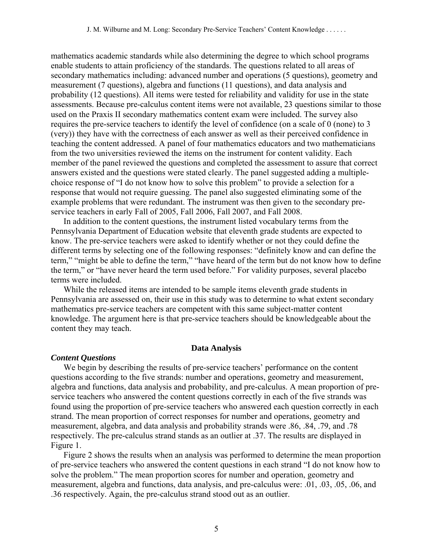mathematics academic standards while also determining the degree to which school programs enable students to attain proficiency of the standards. The questions related to all areas of secondary mathematics including: advanced number and operations (5 questions), geometry and measurement (7 questions), algebra and functions (11 questions), and data analysis and probability (12 questions). All items were tested for reliability and validity for use in the state assessments. Because pre-calculus content items were not available, 23 questions similar to those used on the Praxis II secondary mathematics content exam were included. The survey also requires the pre-service teachers to identify the level of confidence (on a scale of 0 (none) to 3 (very)) they have with the correctness of each answer as well as their perceived confidence in teaching the content addressed. A panel of four mathematics educators and two mathematicians from the two universities reviewed the items on the instrument for content validity. Each member of the panel reviewed the questions and completed the assessment to assure that correct answers existed and the questions were stated clearly. The panel suggested adding a multiplechoice response of "I do not know how to solve this problem" to provide a selection for a response that would not require guessing. The panel also suggested eliminating some of the example problems that were redundant. The instrument was then given to the secondary preservice teachers in early Fall of 2005, Fall 2006, Fall 2007, and Fall 2008.

In addition to the content questions, the instrument listed vocabulary terms from the Pennsylvania Department of Education website that eleventh grade students are expected to know. The pre-service teachers were asked to identify whether or not they could define the different terms by selecting one of the following responses: "definitely know and can define the term," "might be able to define the term," "have heard of the term but do not know how to define the term," or "have never heard the term used before." For validity purposes, several placebo terms were included.

While the released items are intended to be sample items eleventh grade students in Pennsylvania are assessed on, their use in this study was to determine to what extent secondary mathematics pre-service teachers are competent with this same subject-matter content knowledge. The argument here is that pre-service teachers should be knowledgeable about the content they may teach.

# **Data Analysis**

## *Content Questions*

We begin by describing the results of pre-service teachers' performance on the content questions according to the five strands: number and operations, geometry and measurement, algebra and functions, data analysis and probability, and pre-calculus. A mean proportion of preservice teachers who answered the content questions correctly in each of the five strands was found using the proportion of pre-service teachers who answered each question correctly in each strand. The mean proportion of correct responses for number and operations, geometry and measurement, algebra, and data analysis and probability strands were .86, .84, .79, and .78 respectively. The pre-calculus strand stands as an outlier at .37. The results are displayed in Figure 1.

Figure 2 shows the results when an analysis was performed to determine the mean proportion of pre-service teachers who answered the content questions in each strand "I do not know how to solve the problem." The mean proportion scores for number and operation, geometry and measurement, algebra and functions, data analysis, and pre-calculus were: .01, .03, .05, .06, and .36 respectively. Again, the pre-calculus strand stood out as an outlier.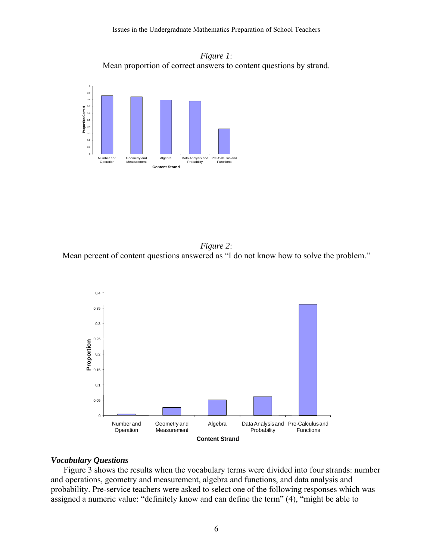



*Figure 2*: Mean percent of content questions answered as "I do not know how to solve the problem."



#### *Vocabulary Questions*

Figure 3 shows the results when the vocabulary terms were divided into four strands: number and operations, geometry and measurement, algebra and functions, and data analysis and probability. Pre-service teachers were asked to select one of the following responses which was assigned a numeric value: "definitely know and can define the term" (4), "might be able to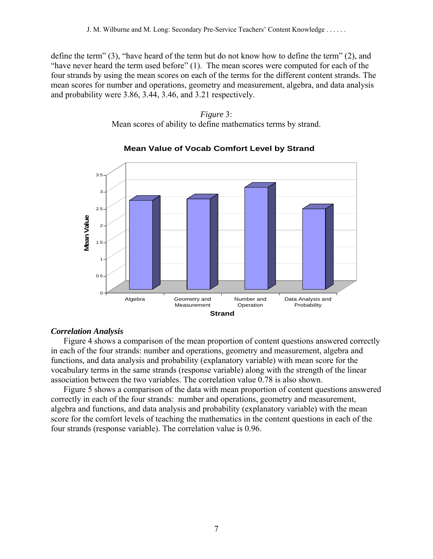define the term" (3), "have heard of the term but do not know how to define the term" (2), and "have never heard the term used before" (1). The mean scores were computed for each of the four strands by using the mean scores on each of the terms for the different content strands. The mean scores for number and operations, geometry and measurement, algebra, and data analysis and probability were 3.86, 3.44, 3.46, and 3.21 respectively.

## *Figure* 3: Mean scores of ability to define mathematics terms by strand.



# **Mean Value of Vocab Comfort Level by Strand**

# *Correlation Analysis*

Figure 4 shows a comparison of the mean proportion of content questions answered correctly in each of the four strands: number and operations, geometry and measurement, algebra and functions, and data analysis and probability (explanatory variable) with mean score for the vocabulary terms in the same strands (response variable) along with the strength of the linear association between the two variables. The correlation value 0.78 is also shown.

Figure 5 shows a comparison of the data with mean proportion of content questions answered correctly in each of the four strands: number and operations, geometry and measurement, algebra and functions, and data analysis and probability (explanatory variable) with the mean score for the comfort levels of teaching the mathematics in the content questions in each of the four strands (response variable). The correlation value is 0.96.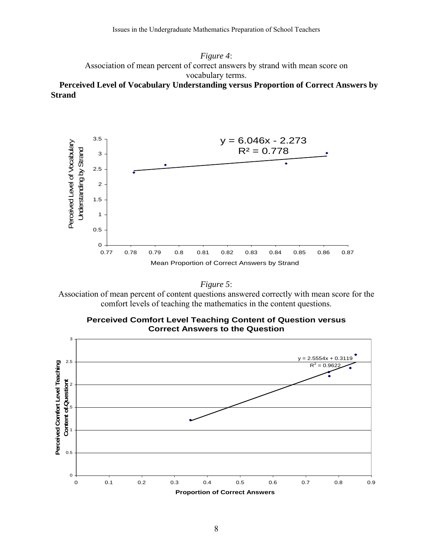*Figure 4*: Association of mean percent of correct answers by strand with mean score on vocabulary terms. **Perceived Level of Vocabulary Understanding versus Proportion of Correct Answers by Strand** 





Association of mean percent of content questions answered correctly with mean score for the comfort levels of teaching the mathematics in the content questions.



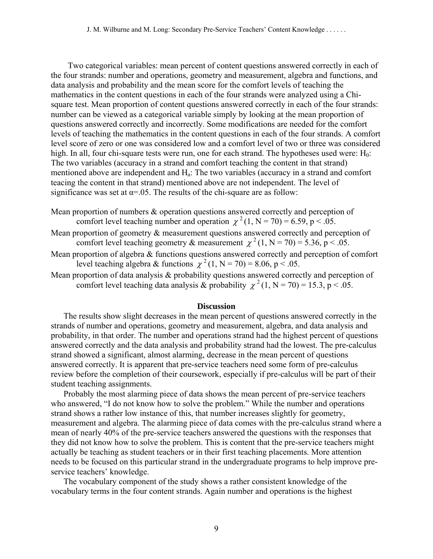Two categorical variables: mean percent of content questions answered correctly in each of the four strands: number and operations, geometry and measurement, algebra and functions, and data analysis and probability and the mean score for the comfort levels of teaching the mathematics in the content questions in each of the four strands were analyzed using a Chisquare test. Mean proportion of content questions answered correctly in each of the four strands: number can be viewed as a categorical variable simply by looking at the mean proportion of questions answered correctly and incorrectly. Some modifications are needed for the comfort levels of teaching the mathematics in the content questions in each of the four strands. A comfort level score of zero or one was considered low and a comfort level of two or three was considered high. In all, four chi-square tests were run, one for each strand. The hypotheses used were:  $H_0$ : The two variables (accuracy in a strand and comfort teaching the content in that strand) mentioned above are independent and  $H_a$ : The two variables (accuracy in a strand and comfort teacing the content in that strand) mentioned above are not independent. The level of significance was set at  $\alpha$ =.05. The results of the chi-square are as follow:

Mean proportion of numbers & operation questions answered correctly and perception of comfort level teaching number and operation  $\chi^2$  (1, N = 70) = 6.59, p < .05.

- Mean proportion of geometry & measurement questions answered correctly and perception of comfort level teaching geometry & measurement  $\chi^2$  (1, N = 70) = 5.36, p < .05.
- Mean proportion of algebra & functions questions answered correctly and perception of comfort level teaching algebra & functions  $\chi^2$  (1, N = 70) = 8.06, p < .05.
- Mean proportion of data analysis & probability questions answered correctly and perception of comfort level teaching data analysis & probability  $\chi^2$  (1, N = 70) = 15.3, p < .05.

## **Discussion**

The results show slight decreases in the mean percent of questions answered correctly in the strands of number and operations, geometry and measurement, algebra, and data analysis and probability, in that order. The number and operations strand had the highest percent of questions answered correctly and the data analysis and probability strand had the lowest. The pre-calculus strand showed a significant, almost alarming, decrease in the mean percent of questions answered correctly. It is apparent that pre-service teachers need some form of pre-calculus review before the completion of their coursework, especially if pre-calculus will be part of their student teaching assignments.

Probably the most alarming piece of data shows the mean percent of pre-service teachers who answered, "I do not know how to solve the problem." While the number and operations strand shows a rather low instance of this, that number increases slightly for geometry, measurement and algebra. The alarming piece of data comes with the pre-calculus strand where a mean of nearly 40% of the pre-service teachers answered the questions with the responses that they did not know how to solve the problem. This is content that the pre-service teachers might actually be teaching as student teachers or in their first teaching placements. More attention needs to be focused on this particular strand in the undergraduate programs to help improve preservice teachers' knowledge.

The vocabulary component of the study shows a rather consistent knowledge of the vocabulary terms in the four content strands. Again number and operations is the highest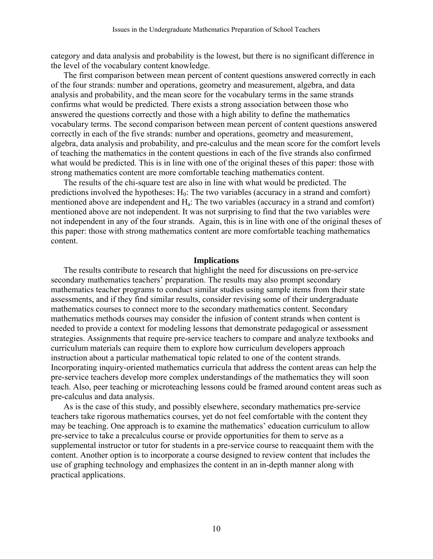category and data analysis and probability is the lowest, but there is no significant difference in the level of the vocabulary content knowledge.

The first comparison between mean percent of content questions answered correctly in each of the four strands: number and operations, geometry and measurement, algebra, and data analysis and probability, and the mean score for the vocabulary terms in the same strands confirms what would be predicted. There exists a strong association between those who answered the questions correctly and those with a high ability to define the mathematics vocabulary terms. The second comparison between mean percent of content questions answered correctly in each of the five strands: number and operations, geometry and measurement, algebra, data analysis and probability, and pre-calculus and the mean score for the comfort levels of teaching the mathematics in the content questions in each of the five strands also confirmed what would be predicted. This is in line with one of the original theses of this paper: those with strong mathematics content are more comfortable teaching mathematics content.

The results of the chi-square test are also in line with what would be predicted. The predictions involved the hypotheses:  $H_0$ : The two variables (accuracy in a strand and comfort) mentioned above are independent and Ha: The two variables (accuracy in a strand and comfort) mentioned above are not independent. It was not surprising to find that the two variables were not independent in any of the four strands. Again, this is in line with one of the original theses of this paper: those with strong mathematics content are more comfortable teaching mathematics content.

#### **Implications**

The results contribute to research that highlight the need for discussions on pre-service secondary mathematics teachers' preparation. The results may also prompt secondary mathematics teacher programs to conduct similar studies using sample items from their state assessments, and if they find similar results, consider revising some of their undergraduate mathematics courses to connect more to the secondary mathematics content. Secondary mathematics methods courses may consider the infusion of content strands when content is needed to provide a context for modeling lessons that demonstrate pedagogical or assessment strategies. Assignments that require pre-service teachers to compare and analyze textbooks and curriculum materials can require them to explore how curriculum developers approach instruction about a particular mathematical topic related to one of the content strands. Incorporating inquiry-oriented mathematics curricula that address the content areas can help the pre-service teachers develop more complex understandings of the mathematics they will soon teach. Also, peer teaching or microteaching lessons could be framed around content areas such as pre-calculus and data analysis.

As is the case of this study, and possibly elsewhere, secondary mathematics pre-service teachers take rigorous mathematics courses, yet do not feel comfortable with the content they may be teaching. One approach is to examine the mathematics' education curriculum to allow pre-service to take a precalculus course or provide opportunities for them to serve as a supplemental instructor or tutor for students in a pre-service course to reacquaint them with the content. Another option is to incorporate a course designed to review content that includes the use of graphing technology and emphasizes the content in an in-depth manner along with practical applications.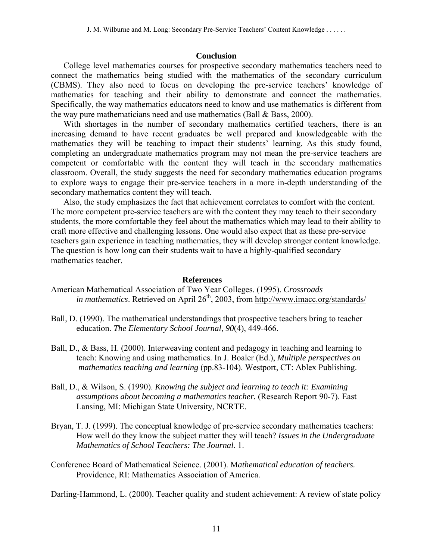## **Conclusion**

College level mathematics courses for prospective secondary mathematics teachers need to connect the mathematics being studied with the mathematics of the secondary curriculum (CBMS). They also need to focus on developing the pre-service teachers' knowledge of mathematics for teaching and their ability to demonstrate and connect the mathematics. Specifically, the way mathematics educators need to know and use mathematics is different from the way pure mathematicians need and use mathematics (Ball & Bass, 2000).

With shortages in the number of secondary mathematics certified teachers, there is an increasing demand to have recent graduates be well prepared and knowledgeable with the mathematics they will be teaching to impact their students' learning. As this study found, completing an undergraduate mathematics program may not mean the pre-service teachers are competent or comfortable with the content they will teach in the secondary mathematics classroom. Overall, the study suggests the need for secondary mathematics education programs to explore ways to engage their pre-service teachers in a more in-depth understanding of the secondary mathematics content they will teach.

Also, the study emphasizes the fact that achievement correlates to comfort with the content. The more competent pre-service teachers are with the content they may teach to their secondary students, the more comfortable they feel about the mathematics which may lead to their ability to craft more effective and challenging lessons. One would also expect that as these pre-service teachers gain experience in teaching mathematics, they will develop stronger content knowledge. The question is how long can their students wait to have a highly-qualified secondary mathematics teacher.

## **References**

- American Mathematical Association of Two Year Colleges. (1995). *Crossroads in mathematics*. Retrieved on April 26<sup>th</sup>, 2003, from http://www.imacc.org/standards/
- Ball, D. (1990). The mathematical understandings that prospective teachers bring to teacher education. *The Elementary School Journal*, *90*(4), 449-466.
- Ball, D., & Bass, H. (2000). Interweaving content and pedagogy in teaching and learning to teach: Knowing and using mathematics. In J. Boaler (Ed.), *Multiple perspectives on mathematics teaching and learning* (pp.83-104). Westport, CT: Ablex Publishing.
- Ball, D., & Wilson, S. (1990). *Knowing the subject and learning to teach it: Examining assumptions about becoming a mathematics teacher.* (Research Report 90-7). East Lansing, MI: Michigan State University, NCRTE.
- Bryan, T. J. (1999). The conceptual knowledge of pre-service secondary mathematics teachers: How well do they know the subject matter they will teach? *Issues in the Undergraduate Mathematics of School Teachers: The Journal*. 1.
- Conference Board of Mathematical Science. (2001). M*athematical education of teachers.*  Providence, RI: Mathematics Association of America.

Darling-Hammond, L. (2000). Teacher quality and student achievement: A review of state policy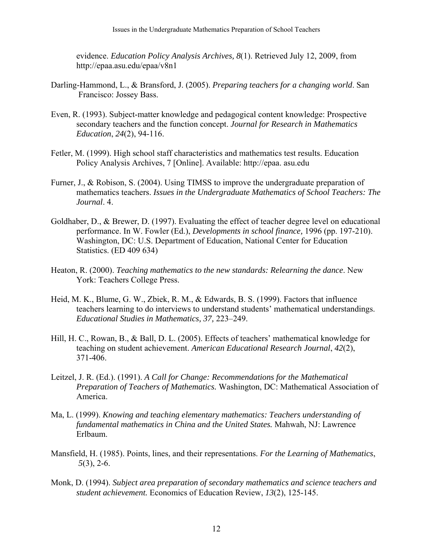evidence. *Education Policy Analysis Archives, 8*(1). Retrieved July 12, 2009, from http://epaa.asu.edu/epaa/v8n1

- Darling-Hammond, L., & Bransford, J. (2005). *Preparing teachers for a changing world*. San Francisco: Jossey Bass.
- Even, R. (1993). Subject-matter knowledge and pedagogical content knowledge: Prospective secondary teachers and the function concept. *Journal for Research in Mathematics Education*, *24*(2), 94-116.
- Fetler, M. (1999). High school staff characteristics and mathematics test results. Education Policy Analysis Archives, 7 [Online]. Available: http://epaa. asu.edu
- Furner, J., & Robison, S. (2004). Using TIMSS to improve the undergraduate preparation of mathematics teachers. *Issues in the Undergraduate Mathematics of School Teachers: The Journal*. 4.
- Goldhaber, D., & Brewer, D. (1997). Evaluating the effect of teacher degree level on educational performance. In W. Fowler (Ed.), *Developments in school finance,* 1996 (pp. 197-210). Washington, DC: U.S. Department of Education, National Center for Education Statistics. (ED 409 634)
- Heaton, R. (2000). *Teaching mathematics to the new standards: Relearning the dance*. New York: Teachers College Press.
- Heid, M. K., Blume, G. W., Zbiek, R. M., & Edwards, B. S. (1999). Factors that influence teachers learning to do interviews to understand students' mathematical understandings. *Educational Studies in Mathematics, 37,* 223–249.
- Hill, H. C., Rowan, B., & Ball, D. L. (2005). Effects of teachers' mathematical knowledge for teaching on student achievement. *American Educational Research Journal*, *42*(2), 371-406.
- Leitzel, J. R. (Ed.). (1991). *A Call for Change: Recommendations for the Mathematical Preparation of Teachers of Mathematics.* Washington, DC: Mathematical Association of America.
- Ma, L. (1999). *Knowing and teaching elementary mathematics: Teachers understanding of fundamental mathematics in China and the United States.* Mahwah, NJ: Lawrence Erlbaum.
- Mansfield, H. (1985). Points, lines, and their representations. *For the Learning of Mathematics*,  *5*(3), 2-6.
- Monk, D. (1994). *Subject area preparation of secondary mathematics and science teachers and student achievement.* Economics of Education Review, *13*(2), 125-145.